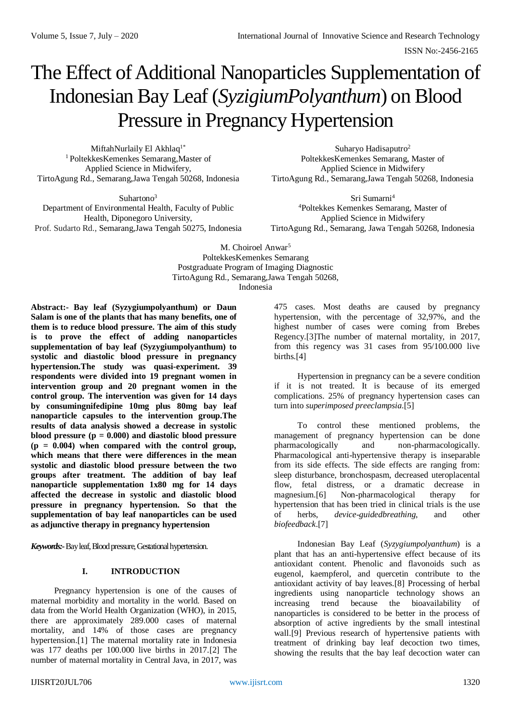ISSN No:-2456-2165

# The Effect of Additional Nanoparticles Supplementation of Indonesian Bay Leaf (*SyzigiumPolyanthum*) on Blood Pressure in Pregnancy Hypertension

MiftahNurlaily El Akhlaq<sup>1\*</sup> <sup>1</sup>PoltekkesKemenkes Semarang,Master of Applied Science in Midwifery, TirtoAgung Rd., Semarang,Jawa Tengah 50268, Indonesia

Suhartono<sup>3</sup> Department of Environmental Health, Faculty of Public Health, Diponegoro University, Prof. Sudarto Rd., Semarang,Jawa Tengah 50275, Indonesia

Suharyo Hadisaputro<sup>2</sup> PoltekkesKemenkes Semarang, Master of Applied Science in Midwifery TirtoAgung Rd., Semarang,Jawa Tengah 50268, Indonesia

Sri Sumarni<sup>4</sup> <sup>4</sup>Poltekkes Kemenkes Semarang, Master of Applied Science in Midwifery TirtoAgung Rd., Semarang, Jawa Tengah 50268, Indonesia

M. Choiroel Anwar<sup>5</sup> PoltekkesKemenkes Semarang Postgraduate Program of Imaging Diagnostic TirtoAgung Rd., Semarang,Jawa Tengah 50268, Indonesia

**Abstract:- Bay leaf (Syzygiumpolyanthum) or Daun Salam is one of the plants that has many benefits, one of them is to reduce blood pressure. The aim of this study is to prove the effect of adding nanoparticles supplementation of bay leaf (Syzygiumpolyanthum) to systolic and diastolic blood pressure in pregnancy hypertension.The study was quasi-experiment. 39 respondents were divided into 19 pregnant women in intervention group and 20 pregnant women in the control group. The intervention was given for 14 days by consumingnifedipine 10mg plus 80mg bay leaf nanoparticle capsules to the intervention group.The results of data analysis showed a decrease in systolic blood pressure (p = 0.000) and diastolic blood pressure (p = 0.004) when compared with the control group, which means that there were differences in the mean systolic and diastolic blood pressure between the two groups after treatment. The addition of bay leaf nanoparticle supplementation 1x80 mg for 14 days affected the decrease in systolic and diastolic blood pressure in pregnancy hypertension. So that the supplementation of bay leaf nanoparticles can be used as adjunctive therapy in pregnancy hypertension**

*Keywords:-*Bay leaf, Blood pressure, Gestational hypertension.

## **I. INTRODUCTION**

Pregnancy hypertension is one of the causes of maternal morbidity and mortality in the world. Based on data from the World Health Organization (WHO), in 2015, there are approximately 289.000 cases of maternal mortality, and 14% of those cases are pregnancy hypertension.[1] The maternal mortality rate in Indonesia was 177 deaths per 100.000 live births in 2017.[2] The number of maternal mortality in Central Java, in 2017, was

475 cases. Most deaths are caused by pregnancy hypertension, with the percentage of 32,97%, and the highest number of cases were coming from Brebes Regency.[3]The number of maternal mortality, in 2017, from this regency was 31 cases from 95/100.000 live births.[4]

Hypertension in pregnancy can be a severe condition if it is not treated. It is because of its emerged complications. 25% of pregnancy hypertension cases can turn into *superimposed preeclampsia*.[5]

To control these mentioned problems, the management of pregnancy hypertension can be done pharmacologically and non-pharmacologically. Pharmacological anti-hypertensive therapy is inseparable from its side effects. The side effects are ranging from: sleep disturbance, bronchospasm, decreased uteroplacental flow, fetal distress, or a dramatic decrease in magnesium.[6] Non-pharmacological therapy for hypertension that has been tried in clinical trials is the use of herbs, *device-guidedbreathing*, and other *biofeedback*.[7]

Indonesian Bay Leaf (*Syzygiumpolyanthum*) is a plant that has an anti-hypertensive effect because of its antioxidant content. Phenolic and flavonoids such as eugenol, kaempferol, and quercetin contribute to the antioxidant activity of bay leaves.[8] Processing of herbal ingredients using nanoparticle technology shows an increasing trend because the bioavailability of nanoparticles is considered to be better in the process of absorption of active ingredients by the small intestinal wall.[9] Previous research of hypertensive patients with treatment of drinking bay leaf decoction two times, showing the results that the bay leaf decoction water can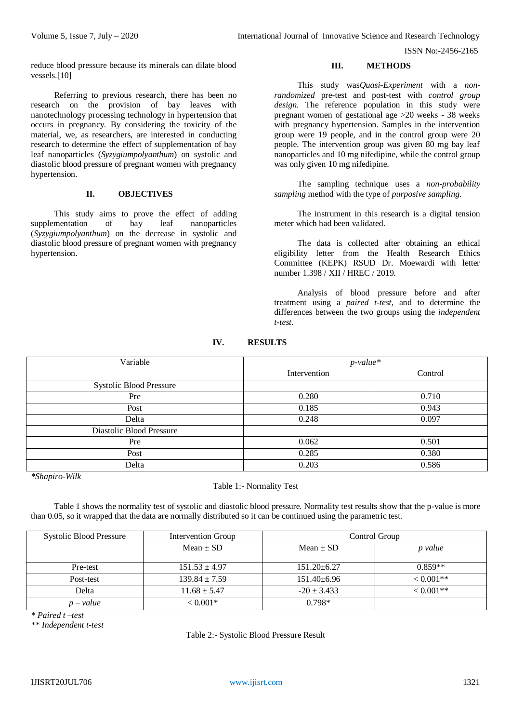ISSN No:-2456-2165

reduce blood pressure because its minerals can dilate blood vessels.[10]

Referring to previous research, there has been no research on the provision of bay leaves with nanotechnology processing technology in hypertension that occurs in pregnancy. By considering the toxicity of the material, we, as researchers, are interested in conducting research to determine the effect of supplementation of bay leaf nanoparticles (*Syzygiumpolyanthum*) on systolic and diastolic blood pressure of pregnant women with pregnancy hypertension.

## **II. OBJECTIVES**

This study aims to prove the effect of adding supplementation of bay leaf nanoparticles (*Syzygiumpolyanthum*) on the decrease in systolic and diastolic blood pressure of pregnant women with pregnancy hypertension.

### **III. METHODS**

This study was*Quasi-Experiment* with a *nonrandomized* pre-test and post-test with *control group design*. The reference population in this study were pregnant women of gestational age >20 weeks - 38 weeks with pregnancy hypertension. Samples in the intervention group were 19 people, and in the control group were 20 people. The intervention group was given 80 mg bay leaf nanoparticles and 10 mg nifedipine, while the control group was only given 10 mg nifedipine.

The sampling technique uses a *non-probability sampling* method with the type of *purposive sampling.*

The instrument in this research is a digital tension meter which had been validated.

The data is collected after obtaining an ethical eligibility letter from the Health Research Ethics Committee (KEPK) RSUD Dr. Moewardi with letter number 1.398 / XII / HREC / 2019.

Analysis of blood pressure before and after treatment using a *paired t-test*, and to determine the differences between the two groups using the *independent t-test*.

| Variable                       | $p$ -value*  |         |
|--------------------------------|--------------|---------|
|                                | Intervention | Control |
| <b>Systolic Blood Pressure</b> |              |         |
| Pre                            | 0.280        | 0.710   |
| Post                           | 0.185        | 0.943   |
| Delta                          | 0.248        | 0.097   |
| Diastolic Blood Pressure       |              |         |
| Pre                            | 0.062        | 0.501   |
| Post                           | 0.285        | 0.380   |
| Delta                          | 0.203        | 0.586   |

**IV. RESULTS**

*\*Shapiro-Wilk*

## Table 1:- Normality Test

Table 1 shows the normality test of systolic and diastolic blood pressure. Normality test results show that the p-value is more than 0.05, so it wrapped that the data are normally distributed so it can be continued using the parametric test.

| Systolic Blood Pressure | Intervention Group | Control Group     |             |
|-------------------------|--------------------|-------------------|-------------|
|                         | Mean $\pm$ SD      | Mean $\pm$ SD     | p value     |
| Pre-test                | $151.53 \pm 4.97$  | $151.20 \pm 6.27$ | $0.859**$   |
| Post-test               | $139.84 \pm 7.59$  | $151.40 \pm 6.96$ | $< 0.001**$ |
| Delta                   | $11.68 \pm 5.47$   | $-20 \pm 3.433$   | $< 0.001**$ |
| $p-value$               | $< 0.001*$         | $0.798*$          |             |

*\* Paired t –test*

*\*\* Independent t-test*

#### Table 2:- Systolic Blood Pressure Result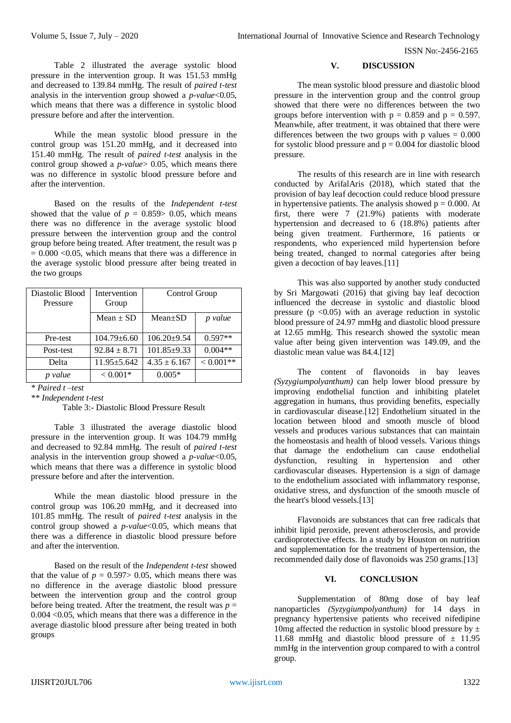ISSN No:-2456-2165

Table 2 illustrated the average systolic blood pressure in the intervention group. It was 151.53 mmHg and decreased to 139.84 mmHg. The result of *paired t-test* analysis in the intervention group showed a *p-value*<0.05, which means that there was a difference in systolic blood pressure before and after the intervention.

While the mean systolic blood pressure in the control group was 151.20 mmHg, and it decreased into 151.40 mmHg. The result of *paired t-test* analysis in the control group showed a *p-value*> 0.05, which means there was no difference in systolic blood pressure before and after the intervention.

Based on the results of the *Independent t-test* showed that the value of  $p = 0.859 > 0.05$ , which means there was no difference in the average systolic blood pressure between the intervention group and the control group before being treated. After treatment, the result was p  $= 0.000 \le 0.05$ , which means that there was a difference in the average systolic blood pressure after being treated in the two groups

| Diastolic Blood<br>Pressure | Intervention<br>Group | Control Group     |              |
|-----------------------------|-----------------------|-------------------|--------------|
|                             |                       |                   |              |
|                             | Mean $\pm$ SD         | $Mean \pm SD$     | p value      |
| Pre-test                    | $104.79 \pm 6.60$     | $106.20 \pm 9.54$ | $0.597**$    |
|                             |                       |                   |              |
| Post-test                   | $92.84 \pm 8.71$      | $101.85 \pm 9.33$ | $0.004**$    |
| Delta                       | $11.95 \pm 5.642$     | $4.35 \pm 6.167$  | $< 0.001$ ** |
| p value                     | $< 0.001*$            | $0.005*$          |              |

*\* Paired t –test*

*\*\* Independent t-test*

Table 3:- Diastolic Blood Pressure Result

Table 3 illustrated the average diastolic blood pressure in the intervention group. It was 104.79 mmHg and decreased to 92.84 mmHg. The result of *paired t-test* analysis in the intervention group showed a *p-value*<0.05, which means that there was a difference in systolic blood pressure before and after the intervention.

While the mean diastolic blood pressure in the control group was 106.20 mmHg, and it decreased into 101.85 mmHg. The result of *paired t-test* analysis in the control group showed a *p-value*<0.05, which means that there was a difference in diastolic blood pressure before and after the intervention.

Based on the result of the *Independent t-test* showed that the value of  $p = 0.597 > 0.05$ , which means there was no difference in the average diastolic blood pressure between the intervention group and the control group before being treated. After the treatment, the result was  $p =$ 0.004 <0.05, which means that there was a difference in the average diastolic blood pressure after being treated in both groups

# **V. DISCUSSION**

The mean systolic blood pressure and diastolic blood pressure in the intervention group and the control group showed that there were no differences between the two groups before intervention with  $p = 0.859$  and  $p = 0.597$ . Meanwhile, after treatment, it was obtained that there were differences between the two groups with p values  $= 0.000$ for systolic blood pressure and  $p = 0.004$  for diastolic blood pressure.

The results of this research are in line with research conducted by ArifalAris (2018), which stated that the provision of bay leaf decoction could reduce blood pressure in hypertensive patients. The analysis showed  $p = 0.000$ . At first, there were 7 (21.9%) patients with moderate hypertension and decreased to 6 (18.8%) patients after being given treatment. Furthermore, 16 patients or respondents, who experienced mild hypertension before being treated, changed to normal categories after being given a decoction of bay leaves.[11]

This was also supported by another study conducted by Sri Margowati (2016) that giving bay leaf decoction influenced the decrease in systolic and diastolic blood pressure ( $p \le 0.05$ ) with an average reduction in systolic blood pressure of 24.97 mmHg and diastolic blood pressure at 12.65 mmHg. This research showed the systolic mean value after being given intervention was 149.09, and the diastolic mean value was 84.4.[12]

The content of flavonoids in bay leaves *(Syzygiumpolyanthum)* can help lower blood pressure by improving endothelial function and inhibiting platelet aggregation in humans, thus providing benefits, especially in cardiovascular disease.[12] Endothelium situated in the location between blood and smooth muscle of blood vessels and produces various substances that can maintain the homeostasis and health of blood vessels. Various things that damage the endothelium can cause endothelial dysfunction, resulting in hypertension and other cardiovascular diseases. Hypertension is a sign of damage to the endothelium associated with inflammatory response, oxidative stress, and dysfunction of the smooth muscle of the heart's blood vessels.[13]

Flavonoids are substances that can free radicals that inhibit lipid peroxide, prevent atherosclerosis, and provide cardioprotective effects. In a study by Houston on nutrition and supplementation for the treatment of hypertension, the recommended daily dose of flavonoids was 250 grams.[13]

# **VI. CONCLUSION**

Supplementation of 80mg dose of bay leaf nanoparticles *(Syzygiumpolyanthum)* for 14 days in pregnancy hypertensive patients who received nifedipine 10mg affected the reduction in systolic blood pressure by  $\pm$ 11.68 mmHg and diastolic blood pressure of  $\pm$  11.95 mmHg in the intervention group compared to with a control group.